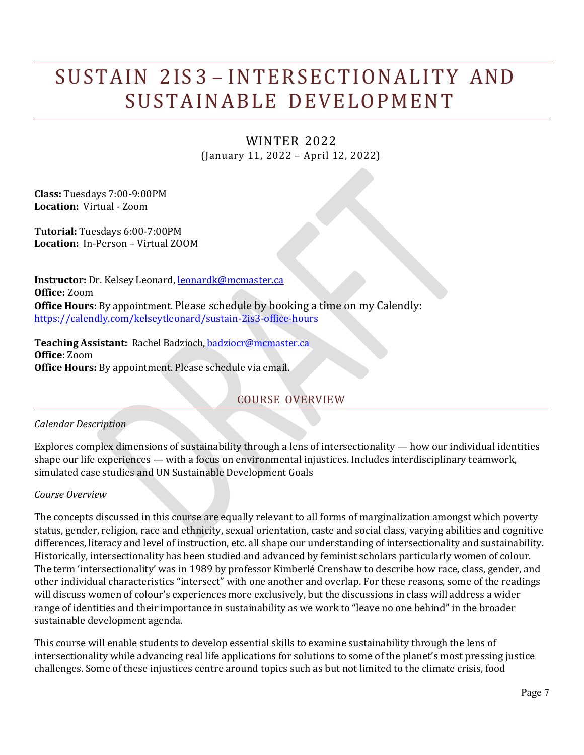# SUSTAIN 2IS 3 – INTERSECTIONALITY AND SUSTAINABLE DEVELOPMENT

# WINTER 2022 (January 11, 2022 – April 12, 2022)

**Class:** Tuesdays 7:00-9:00PM **Location:** Virtual - Zoom

**Tutorial:** Tuesdays 6:00-7:00PM **Location:** In-Person – Virtual ZOOM

**Instructor:** Dr. Kelsey Leonard, **[leonardk@mcmaster.ca](mailto:leonardk@mcmaster.ca) Office:** Zoom **Office Hours:** By appointment. Please schedule by booking a time on my Calendly: <https://calendly.com/kelseytleonard/sustain-2is3-office-hours>

**Teaching Assistant:** Rachel Badzioch[, badziocr@mcmaster.ca](mailto:badziocr@mcmaster.ca) **Office:** Zoom **Office Hours:** By appointment. Please schedule via email.

# COURSE OVERVIEW

### *Calendar Description*

Explores complex dimensions of sustainability through a lens of intersectionality — how our individual identities shape our life experiences — with a focus on environmental injustices. Includes interdisciplinary teamwork, simulated case studies and UN Sustainable Development Goals

### *Course Overview*

The concepts discussed in this course are equally relevant to all forms of marginalization amongst which poverty status, gender, religion, race and ethnicity, sexual orientation, caste and social class, varying abilities and cognitive differences, literacy and level of instruction, etc. all shape our understanding of intersectionality and sustainability. Historically, intersectionality has been studied and advanced by feminist scholars particularly women of colour. The term 'intersectionality' was in 1989 by professor Kimberlé Crenshaw to describe how race, class, gender, and other individual characteristics "intersect" with one another and overlap. For these reasons, some of the readings will discuss women of colour's experiences more exclusively, but the discussions in class will address a wider range of identities and their importance in sustainability as we work to "leave no one behind" in the broader sustainable development agenda.

This course will enable students to develop essential skills to examine sustainability through the lens of intersectionality while advancing real life applications for solutions to some of the planet's most pressing justice challenges. Some of these injustices centre around topics such as but not limited to the climate crisis, food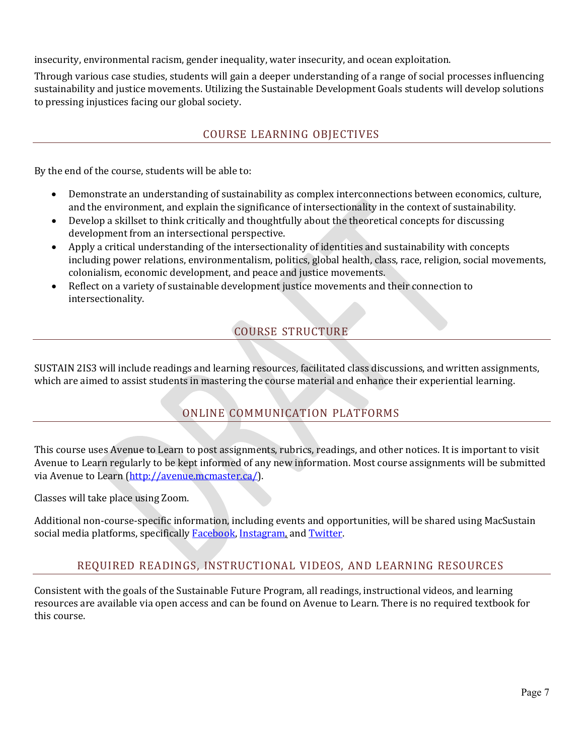insecurity, environmental racism, gender inequality, water insecurity, and ocean exploitation.

Through various case studies, students will gain a deeper understanding of a range of social processes influencing sustainability and justice movements. Utilizing the Sustainable Development Goals students will develop solutions to pressing injustices facing our global society.

# COURSE LEARNING OBJECTIVES

By the end of the course, students will be able to:

- Demonstrate an understanding of sustainability as complex interconnections between economics, culture, and the environment, and explain the significance of intersectionality in the context of sustainability.
- Develop a skillset to think critically and thoughtfully about the theoretical concepts for discussing development from an intersectional perspective.
- Apply a critical understanding of the intersectionality of identities and sustainability with concepts including power relations, environmentalism, politics, global health, class, race, religion, social movements, colonialism, economic development, and peace and justice movements.
- Reflect on a variety of sustainable development justice movements and their connection to intersectionality.

# COURSE STRUCTURE

SUSTAIN 2IS3 will include readings and learning resources, facilitated class discussions, and written assignments, which are aimed to assist students in mastering the course material and enhance their experiential learning.

# ONLINE COMMUNICATION PLATFORMS

This course uses Avenue to Learn to post assignments, rubrics, readings, and other notices. It is important to visit Avenue to Learn regularly to be kept informed of any new information. Most course assignments will be submitted via Avenue to Learn [\(http://avenue.mcmaster.ca/\).](http://avenue.mcmaster.ca/))

Classes will take place using Zoom.

Additional non-course-specific information, including events and opportunities, will be shared using MacSustain social media platforms, specifically **Facebook**, Instagram, and Twitter.

# REQUIRED READINGS, INSTRUCTIONAL VIDEOS, AND LEARNING RESOURCES

Consistent with the goals of the Sustainable Future Program, all readings, instructional videos, and learning resources are available via open access and can be found on Avenue to Learn. There is no required textbook for this course.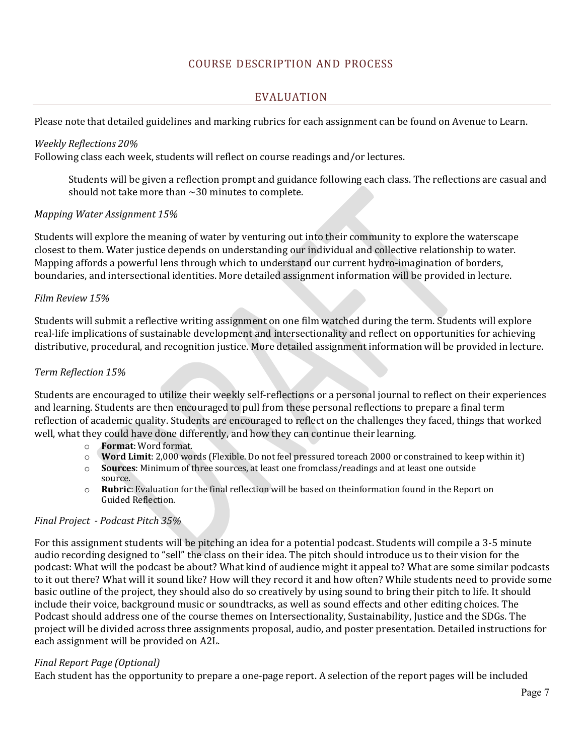### COURSE DESCRIPTION AND PROCESS

### EVALUATION

Please note that detailed guidelines and marking rubrics for each assignment can be found on Avenue to Learn.

#### *Weekly Reflections 20%*

Following class each week, students will reflect on course readings and/or lectures.

Students will be given a reflection prompt and guidance following each class. The reflections are casual and should not take more than  $\sim$  30 minutes to complete.

#### *Mapping Water Assignment 15%*

Students will explore the meaning of water by venturing out into their community to explore the waterscape closest to them. Water justice depends on understanding our individual and collective relationship to water. Mapping affords a powerful lens through which to understand our current hydro-imagination of borders, boundaries, and intersectional identities. More detailed assignment information will be provided in lecture.

#### *Film Review 15%*

Students will submit a reflective writing assignment on one film watched during the term. Students will explore real-life implications of sustainable development and intersectionality and reflect on opportunities for achieving distributive, procedural, and recognition justice. More detailed assignment information will be provided in lecture.

#### *Term Reflection 15%*

Students are encouraged to utilize their weekly self-reflections or a personal journal to reflect on their experiences and learning. Students are then encouraged to pull from these personal reflections to prepare a final term reflection of academic quality. Students are encouraged to reflect on the challenges they faced, things that worked well, what they could have done differently, and how they can continue their learning.<br>  $\circ$  Format: Word format.

- o **Format**: Word format.
- o **Word Limit**: 2,000 words (Flexible. Do not feel pressured toreach 2000 or constrained to keep within it)
- **Sources**: Minimum of three sources, at least one fromclass/readings and at least one outside source.
- o **Rubric**: Evaluation for the final reflection will be based on theinformation found in the Report on Guided Reflection.

### *Final Project - Podcast Pitch 35%*

For this assignment students will be pitching an idea for a potential podcast. Students will compile a 3-5 minute audio recording designed to "sell" the class on their idea. The pitch should introduce us to their vision for the podcast: What will the podcast be about? What kind of audience might it appeal to? What are some similar podcasts to it out there? What will it sound like? How will they record it and how often? While students need to provide some basic outline of the project, they should also do so creatively by using sound to bring their pitch to life. It should include their voice, background music or soundtracks, as well as sound effects and other editing choices. The Podcast should address one of the course themes on Intersectionality, Sustainability, Justice and the SDGs. The project will be divided across three assignments proposal, audio, and poster presentation. Detailed instructions for each assignment will be provided on A2L.

### *Final Report Page (Optional)*

Each student has the opportunity to prepare a one-page report. A selection of the report pages will be included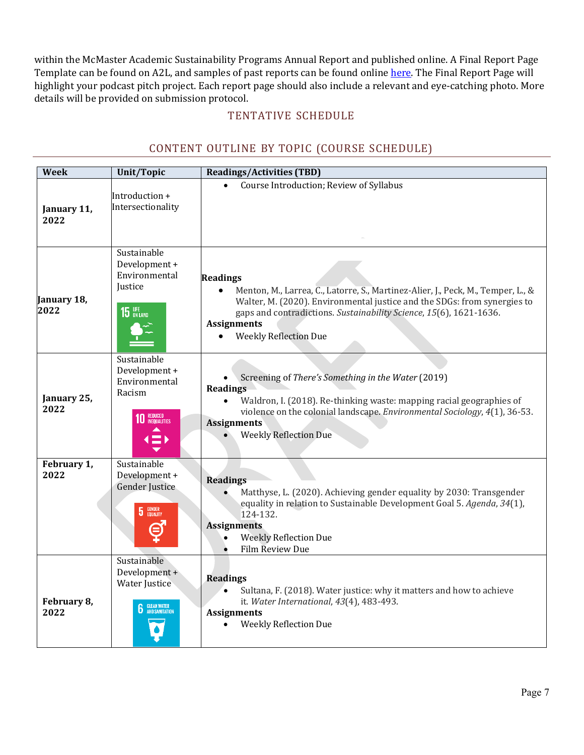within the McMaster Academic Sustainability Programs Annual Report and published online. A Final Report Page Template can be found on A2L, and samples of past reports can be found online here. The Final Report Page will highlight your podcast pitch project. Each report page should also include a relevant and eye-catching photo. More details will be provided on submission protocol.

### TENTATIVE SCHEDULE

# CONTENT OUTLINE BY TOPIC (COURSE SCHEDULE)

| <b>Week</b>         | <b>Unit/Topic</b>                                                                            | <b>Readings/Activities (TBD)</b>                                                                                                                                                                                                                                                                                         |
|---------------------|----------------------------------------------------------------------------------------------|--------------------------------------------------------------------------------------------------------------------------------------------------------------------------------------------------------------------------------------------------------------------------------------------------------------------------|
| January 11,<br>2022 | Introduction +<br>Intersectionality                                                          | Course Introduction; Review of Syllabus                                                                                                                                                                                                                                                                                  |
| January 18,<br>2022 | Sustainable<br>Development +<br>Environmental<br>Justice<br>15 UFE                           | <b>Readings</b><br>Menton, M., Larrea, C., Latorre, S., Martinez-Alier, J., Peck, M., Temper, L., &<br>$\bullet$<br>Walter, M. (2020). Environmental justice and the SDGs: from synergies to<br>gaps and contradictions. Sustainability Science, 15(6), 1621-1636.<br><b>Assignments</b><br><b>Weekly Reflection Due</b> |
| January 25,<br>2022 | Sustainable<br>Development +<br>Environmental<br>Racism<br>REDUCED<br>INEQUALITIES           | Screening of There's Something in the Water (2019)<br><b>Readings</b><br>Waldron, I. (2018). Re-thinking waste: mapping racial geographies of<br>violence on the colonial landscape. Environmental Sociology, 4(1), 36-53.<br><b>Assignments</b><br><b>Weekly Reflection Due</b>                                         |
| February 1,<br>2022 | Sustainable<br>Development +<br><b>Gender Justice</b><br><b>GENDER</b><br>EQUALITY<br>5      | <b>Readings</b><br>Matthyse, L. (2020). Achieving gender equality by 2030: Transgender<br>equality in relation to Sustainable Development Goal 5. Agenda, 34(1),<br>124-132.<br><b>Assignments</b><br><b>Weekly Reflection Due</b><br>Film Review Due                                                                    |
| February 8,<br>2022 | Sustainable<br>Development +<br><b>Water Justice</b><br><b>CLEAN WATER</b><br>AND SANITATION | <b>Readings</b><br>Sultana, F. (2018). Water justice: why it matters and how to achieve<br>it. Water International, 43(4), 483-493.<br><b>Assignments</b><br><b>Weekly Reflection Due</b>                                                                                                                                |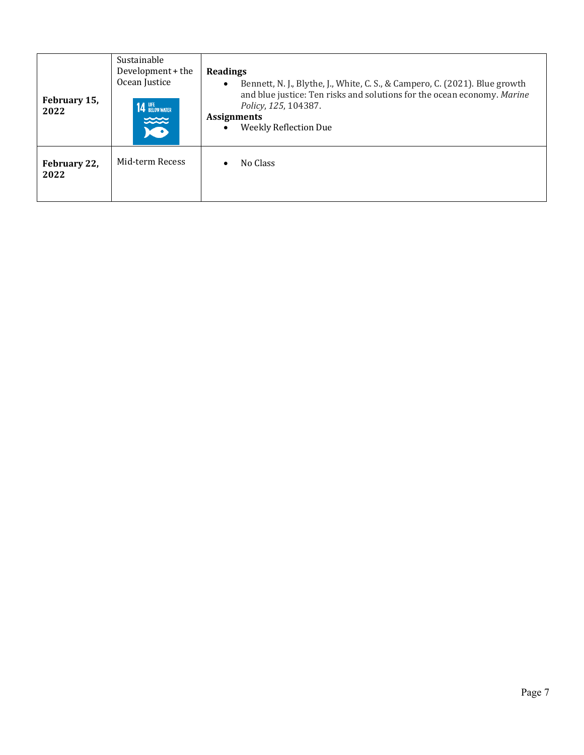| February 15,<br>2022 | Sustainable<br>Development + the<br>Ocean Justice<br><b>14 UFE</b> BELOW WATER<br>تتتنت | <b>Readings</b><br>Bennett, N. J., Blythe, J., White, C. S., & Campero, C. (2021). Blue growth<br>$\bullet$<br>and blue justice: Ten risks and solutions for the ocean economy. Marine<br>Policy, 125, 104387.<br><b>Assignments</b><br><b>Weekly Reflection Due</b><br>$\bullet$ |
|----------------------|-----------------------------------------------------------------------------------------|-----------------------------------------------------------------------------------------------------------------------------------------------------------------------------------------------------------------------------------------------------------------------------------|
| February 22,<br>2022 | Mid-term Recess                                                                         | No Class                                                                                                                                                                                                                                                                          |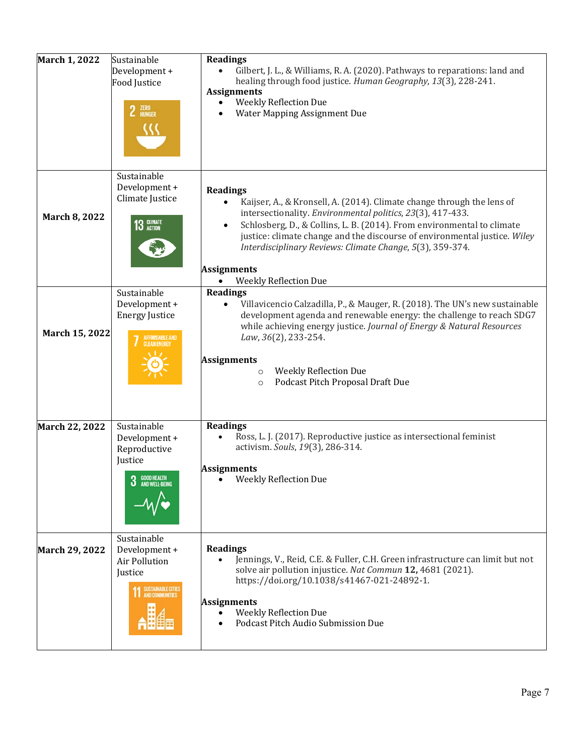| March 1, 2022  | Sustainable<br>Development +<br>Food Justice<br>$2$ $^{ZER0}_{HUNGER}$                                     | <b>Readings</b><br>Gilbert, J. L., & Williams, R. A. (2020). Pathways to reparations: land and<br>healing through food justice. Human Geography, 13(3), 228-241.<br><b>Assignments</b><br><b>Weekly Reflection Due</b><br>Water Mapping Assignment Due                                                                                                                                                                                         |
|----------------|------------------------------------------------------------------------------------------------------------|------------------------------------------------------------------------------------------------------------------------------------------------------------------------------------------------------------------------------------------------------------------------------------------------------------------------------------------------------------------------------------------------------------------------------------------------|
| March 8, 2022  | Sustainable<br>Development +<br>Climate Justice<br>13 CLIMATE                                              | <b>Readings</b><br>Kaijser, A., & Kronsell, A. (2014). Climate change through the lens of<br>intersectionality. Environmental politics, 23(3), 417-433.<br>Schlosberg, D., & Collins, L. B. (2014). From environmental to climate<br>$\bullet$<br>justice: climate change and the discourse of environmental justice. Wiley<br>Interdisciplinary Reviews: Climate Change, 5(3), 359-374.<br><b>Assignments</b><br><b>Weekly Reflection Due</b> |
| March 15, 2022 | Sustainable<br>Development +<br><b>Energy Justice</b><br>AFFORDABLE AND<br>CLEAN ENERGY                    | <b>Readings</b><br>Villavicencio Calzadilla, P., & Mauger, R. (2018). The UN's new sustainable<br>development agenda and renewable energy: the challenge to reach SDG7<br>while achieving energy justice. Journal of Energy & Natural Resources<br>Law, 36(2), 233-254.<br><b>Assignments</b><br><b>Weekly Reflection Due</b><br>$\circ$<br>Podcast Pitch Proposal Draft Due<br>$\circ$                                                        |
| March 22, 2022 | Sustainable<br>Development +<br>Reproductive<br>Justice<br><b>O</b> GOOD HEALTH<br><b>J</b> AND WELL-BEING | <b>Readings</b><br>Ross, L. J. (2017). Reproductive justice as intersectional feminist<br>$\bullet$<br>activism. Souls, 19(3), 286-314.<br><b>Assignments</b><br>Weekly Reflection Due                                                                                                                                                                                                                                                         |
| March 29, 2022 | Sustainable<br>Development +<br>Air Pollution<br>Justice<br>SUSTAINABLE CITIES<br>AND COMMUNITIES          | <b>Readings</b><br>Jennings, V., Reid, C.E. & Fuller, C.H. Green infrastructure can limit but not<br>solve air pollution injustice. Nat Commun 12, 4681 (2021).<br>https://doi.org/10.1038/s41467-021-24892-1.<br><b>Assignments</b><br><b>Weekly Reflection Due</b><br>Podcast Pitch Audio Submission Due                                                                                                                                     |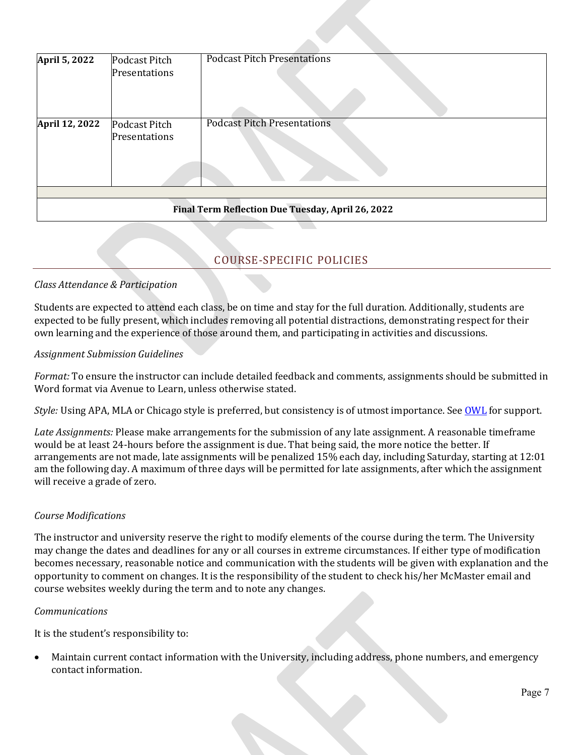| April 5, 2022                                     | Podcast Pitch<br>Presentations | <b>Podcast Pitch Presentations</b> |  |  |  |
|---------------------------------------------------|--------------------------------|------------------------------------|--|--|--|
| April 12, 2022                                    | Podcast Pitch<br>Presentations | <b>Podcast Pitch Presentations</b> |  |  |  |
|                                                   |                                |                                    |  |  |  |
| Final Term Reflection Due Tuesday, April 26, 2022 |                                |                                    |  |  |  |

# COURSE-SPECIFIC POLICIES

### *Class Attendance & Participation*

Students are expected to attend each class, be on time and stay for the full duration. Additionally, students are expected to be fully present, which includes removing all potential distractions, demonstrating respect for their own learning and the experience of those around them, and participating in activities and discussions.

### *Assignment Submission Guidelines*

*Format:* To ensure the instructor can include detailed feedback and comments, assignments should be submitted in Word format via Avenue to Learn, unless otherwise stated.

*Style:* Using APA, MLA or Chicago style is preferred, but consistency is of utmost importance. See OWL for support.

*Late Assignments:* Please make arrangements for the submission of any late assignment. A reasonable timeframe would be at least 24-hours before the assignment is due. That being said, the more notice the better. If arrangements are not made, late assignments will be penalized 15% each day, including Saturday, starting at 12:01 am the following day. A maximum of three days will be permitted for late assignments, after which the assignment will receive a grade of zero.

### *Course Modifications*

The instructor and university reserve the right to modify elements of the course during the term. The University may change the dates and deadlines for any or all courses in extreme circumstances. If either type of modification becomes necessary, reasonable notice and communication with the students will be given with explanation and the opportunity to comment on changes. It is the responsibility of the student to check his/her McMaster email and course websites weekly during the term and to note any changes.

#### *Communications*

It is the student's responsibility to:

• Maintain current contact information with the University, including address, phone numbers, and emergency contact information.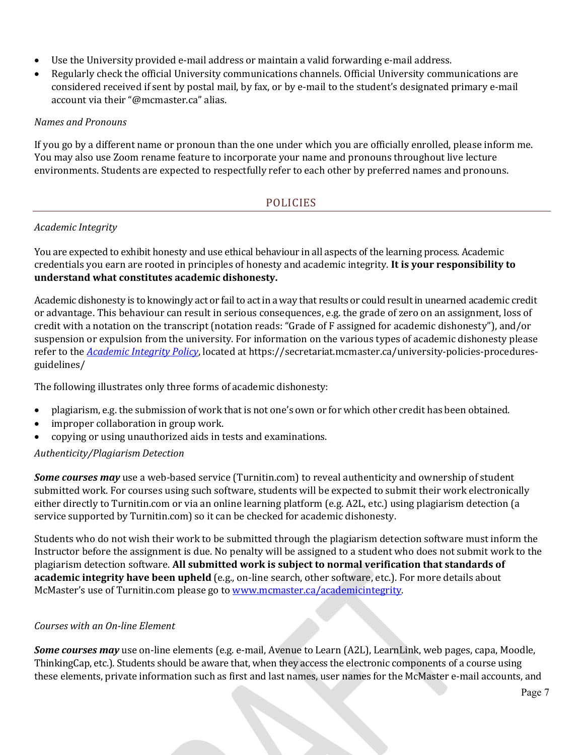- Use the University provided e-mail address or maintain a valid forwarding e-mail address.
- Regularly check the official University communications channels. Official University communications are considered received if sent by postal mail, by fax, or by e-mail to the student's designated primary e-mail account via their "@mcmaster.ca" alias.

### *Names and Pronouns*

If you go by a different name or pronoun than the one under which you are officially enrolled, please inform me. You may also use Zoom rename feature to incorporate your name and pronouns throughout live lecture environments. Students are expected to respectfully refer to each other by preferred names and pronouns.

### POLICIES

### *Academic Integrity*

You are expected to exhibit honesty and use ethical behaviour in all aspects of the learning process. Academic credentials you earn are rooted in principles of honesty and academic integrity. **It is your responsibility to understand what constitutes academic dishonesty.**

Academic dishonesty is to knowingly act or fail to act in a way that results or could result in unearned academic credit or advantage. This behaviour can result in serious consequences, e.g. the grade of zero on an assignment, loss of credit with a notation on the transcript (notation reads: "Grade of F assigned for academic dishonesty"), and/or suspension or expulsion from the university. For information on the various types of academic dishonesty please refer to the *Academic Integrity Policy*, located at https://secretariat.mcmaster.ca/university-policies-proceduresguidelines/

The following illustrates only three forms of academic dishonesty:

- plagiarism, e.g. the submission of work that is not one's own or for which other credit has been obtained.
- improper collaboration in group work.
- copying or using unauthorized aids in tests and examinations.

### *Authenticity/Plagiarism Detection*

*Some courses may* use a web-based service (Turnitin.com) to reveal authenticity and ownership of student submitted work. For courses using such software, students will be expected to submit their work electronically either directly to Turnitin.com or via an online learning platform (e.g. A2L, etc.) using plagiarism detection (a service supported by Turnitin.com) so it can be checked for academic dishonesty.

Students who do not wish their work to be submitted through the plagiarism detection software must inform the Instructor before the assignment is due. No penalty will be assigned to a student who does not submit work to the plagiarism detection software. **All submitted work is subject to normal verification that standards of academic integrity have been upheld** (e.g., on-line search, other software, etc.). For more details about McMaster's use of Turnitin.com please go to [www.mcmaster.ca/academicintegrity.](http://www.mcmaster.ca/academicintegrity)

### *Courses with an On-line Element*

*Some courses may* use on-line elements (e.g. e-mail, Avenue to Learn (A2L), LearnLink, web pages, capa, Moodle, ThinkingCap, etc.). Students should be aware that, when they access the electronic components of a course using these elements, private information such as first and last names, user names for the McMaster e-mail accounts, and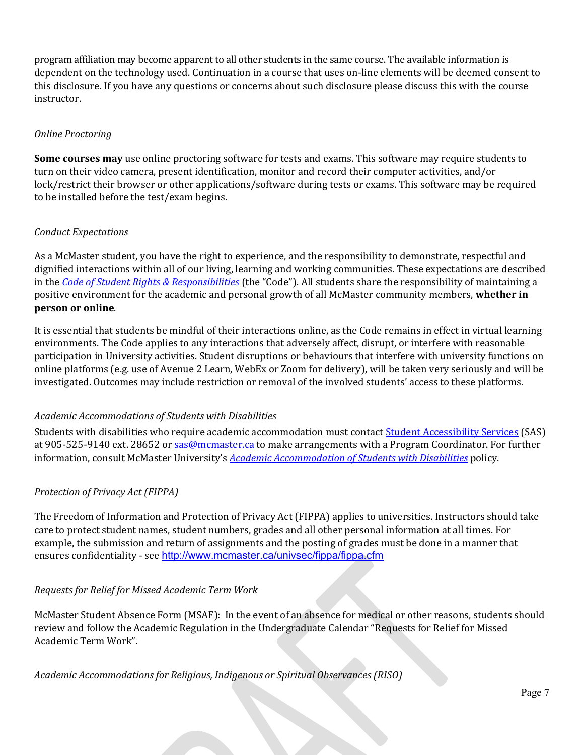program affiliation may become apparent to all other students in the same course. The available information is dependent on the technology used. Continuation in a course that uses on-line elements will be deemed consent to this disclosure. If you have any questions or concerns about such disclosure please discuss this with the course instructor.

#### *Online Proctoring*

**Some courses may** use online proctoring software for tests and exams. This software may require students to turn on their video camera, present identification, monitor and record their computer activities, and/or lock/restrict their browser or other applications/software during tests or exams. This software may be required to be installed before the test/exam begins.

#### *Conduct Expectations*

As a McMaster student, you have the right to experience, and the responsibility to demonstrate, respectful and dignified interactions within all of our living, learning and working communities. These expectations are described in the *Code of Student Rights & Responsibilities* (the "Code"). All students share the responsibility of maintaining a positive environment for the academic and personal growth of all McMaster community members, **whether in person or online**.

It is essential that students be mindful of their interactions online, as the Code remains in effect in virtual learning environments. The Code applies to any interactions that adversely affect, disrupt, or interfere with reasonable participation in University activities. Student disruptions or behaviours that interfere with university functions on online platforms (e.g. use of Avenue 2 Learn, WebEx or Zoom for delivery), will be taken very seriously and will be investigated. Outcomes may include restriction or removal of the involved students' access to these platforms.

### *Academic Accommodations of Students with Disabilities*

Students with disabilities who require academic accommodation must contact Student Accessibility Services (SAS) at 905-525-9140 ext. 28652 or [sas@mcmaster.ca](mailto:sas@mcmaster.ca) to make arrangements with a Program Coordinator. For further information, consult McMaster University's *Academic Accommodation of Students with Disabilities* policy.

### *Protection of Privacy Act (FIPPA)*

The Freedom of Information and Protection of Privacy Act (FIPPA) applies to universities. Instructors should take care to protect student names, student numbers, grades and all other personal information at all times. For example, the submission and return of assignments and the posting of grades must be done in a manner that ensures confidentiality - see <http://www.mcmaster.ca/univsec/fippa/fippa.cfm>

#### *Requests for Relief for Missed Academic Term Work*

McMaster Student Absence Form (MSAF): In the event of an absence for medical or other reasons, students should review and follow the Academic Regulation in the Undergraduate Calendar "Requests for Relief for Missed Academic Term Work".

*Academic Accommodations for Religious, Indigenous or Spiritual Observances (RISO)*